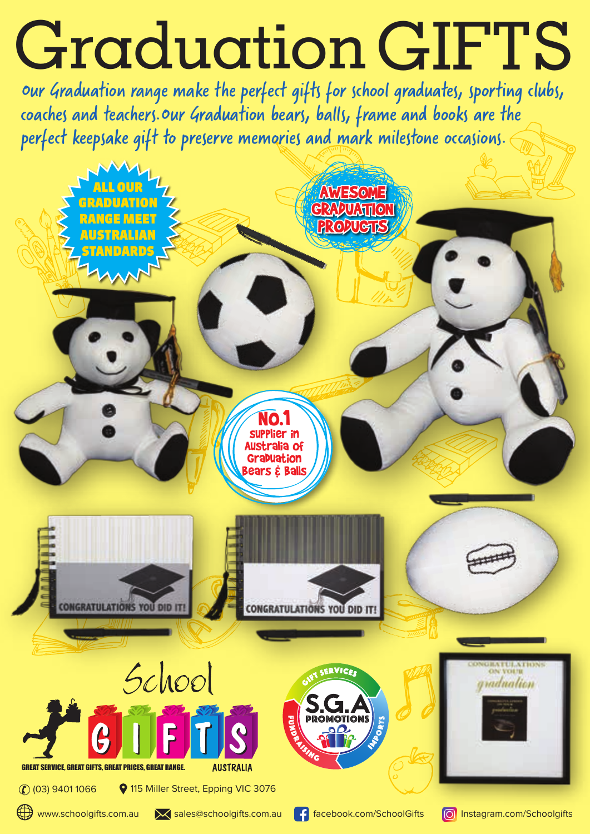## Graduation GIFTS

Our Graduation range make the perfect gifts for school graduates, sporting clubs, coaches and teachers.Our Graduation bears, balls, frame and books are the perfect keepsake gift to preserve memories and mark milestone occasions.